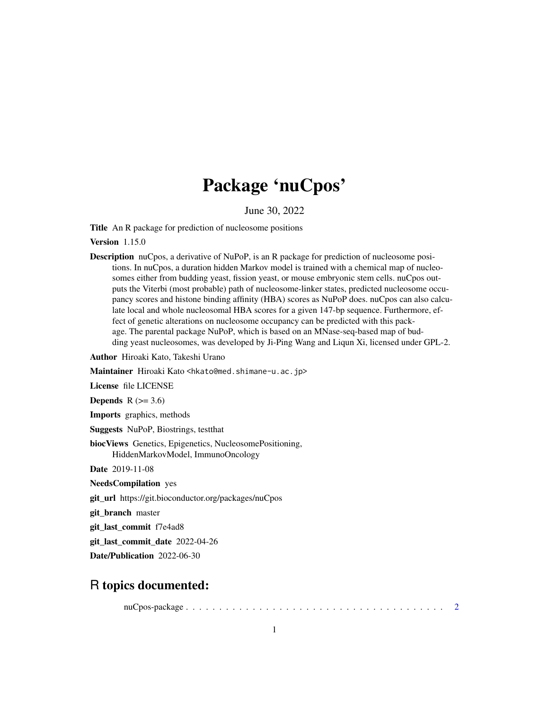## Package 'nuCpos'

June 30, 2022

Title An R package for prediction of nucleosome positions

Version 1.15.0

Description nuCpos, a derivative of NuPoP, is an R package for prediction of nucleosome positions. In nuCpos, a duration hidden Markov model is trained with a chemical map of nucleosomes either from budding yeast, fission yeast, or mouse embryonic stem cells. nuCpos outputs the Viterbi (most probable) path of nucleosome-linker states, predicted nucleosome occupancy scores and histone binding affinity (HBA) scores as NuPoP does. nuCpos can also calculate local and whole nucleosomal HBA scores for a given 147-bp sequence. Furthermore, effect of genetic alterations on nucleosome occupancy can be predicted with this package. The parental package NuPoP, which is based on an MNase-seq-based map of budding yeast nucleosomes, was developed by Ji-Ping Wang and Liqun Xi, licensed under GPL-2.

Author Hiroaki Kato, Takeshi Urano

Maintainer Hiroaki Kato <hkato@med.shimane-u.ac.jp>

License file LICENSE

Depends  $R$  ( $>= 3.6$ )

Imports graphics, methods

Suggests NuPoP, Biostrings, testthat

biocViews Genetics, Epigenetics, NucleosomePositioning, HiddenMarkovModel, ImmunoOncology

Date 2019-11-08

NeedsCompilation yes

git\_url https://git.bioconductor.org/packages/nuCpos

git\_branch master

git\_last\_commit f7e4ad8

git\_last\_commit\_date 2022-04-26

Date/Publication 2022-06-30

### R topics documented:

nuCpos-package . . . . . . . . . . . . . . . . . . . . . . . . . . . . . . . . . . . . . . . [2](#page-1-0)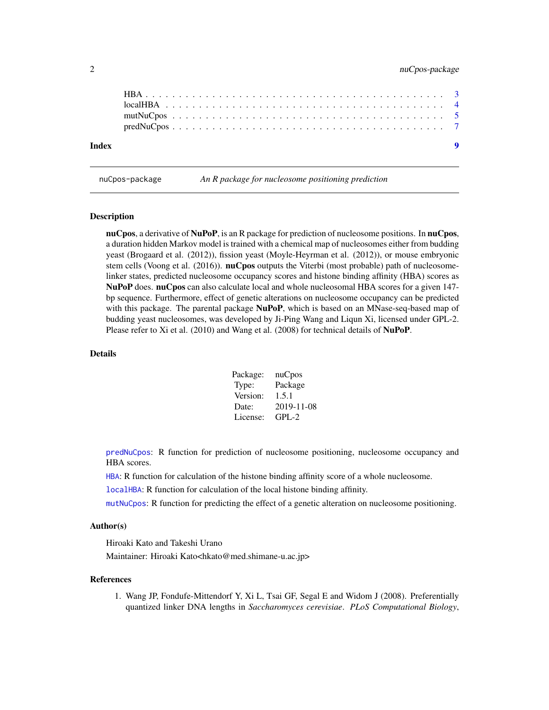<span id="page-1-0"></span>

| Index |  |  |  |  |  |  |  |  |  |  |  |  |  |  |  |  |  |  | $\bullet$ |
|-------|--|--|--|--|--|--|--|--|--|--|--|--|--|--|--|--|--|--|-----------|
|       |  |  |  |  |  |  |  |  |  |  |  |  |  |  |  |  |  |  |           |
|       |  |  |  |  |  |  |  |  |  |  |  |  |  |  |  |  |  |  |           |
|       |  |  |  |  |  |  |  |  |  |  |  |  |  |  |  |  |  |  |           |
|       |  |  |  |  |  |  |  |  |  |  |  |  |  |  |  |  |  |  |           |
|       |  |  |  |  |  |  |  |  |  |  |  |  |  |  |  |  |  |  |           |

nuCpos-package *An R package for nucleosome positioning prediction*

#### Description

nuCpos, a derivative of NuPoP, is an R package for prediction of nucleosome positions. In nuCpos, a duration hidden Markov model is trained with a chemical map of nucleosomes either from budding yeast (Brogaard et al. (2012)), fission yeast (Moyle-Heyrman et al. (2012)), or mouse embryonic stem cells (Voong et al. (2016)). **nuCpos** outputs the Viterbi (most probable) path of nucleosomelinker states, predicted nucleosome occupancy scores and histone binding affinity (HBA) scores as NuPoP does. nuCpos can also calculate local and whole nucleosomal HBA scores for a given 147bp sequence. Furthermore, effect of genetic alterations on nucleosome occupancy can be predicted with this package. The parental package NuPoP, which is based on an MNase-seq-based map of budding yeast nucleosomes, was developed by Ji-Ping Wang and Liqun Xi, licensed under GPL-2. Please refer to Xi et al. (2010) and Wang et al. (2008) for technical details of NuPoP.

#### Details

| Package: | nuCpos     |
|----------|------------|
| Type:    | Package    |
| Version: | 1.5.1      |
| Date:    | 2019-11-08 |
| License: | $GPI - 2$  |

[predNuCpos](#page-6-1): R function for prediction of nucleosome positioning, nucleosome occupancy and HBA scores.

[HBA](#page-2-1): R function for calculation of the histone binding affinity score of a whole nucleosome.

[localHBA](#page-3-1): R function for calculation of the local histone binding affinity.

[mutNuCpos](#page-4-1): R function for predicting the effect of a genetic alteration on nucleosome positioning.

#### Author(s)

Hiroaki Kato and Takeshi Urano Maintainer: Hiroaki Kato<hkato@med.shimane-u.ac.jp>

#### References

1. Wang JP, Fondufe-Mittendorf Y, Xi L, Tsai GF, Segal E and Widom J (2008). Preferentially quantized linker DNA lengths in *Saccharomyces cerevisiae*. *PLoS Computational Biology*,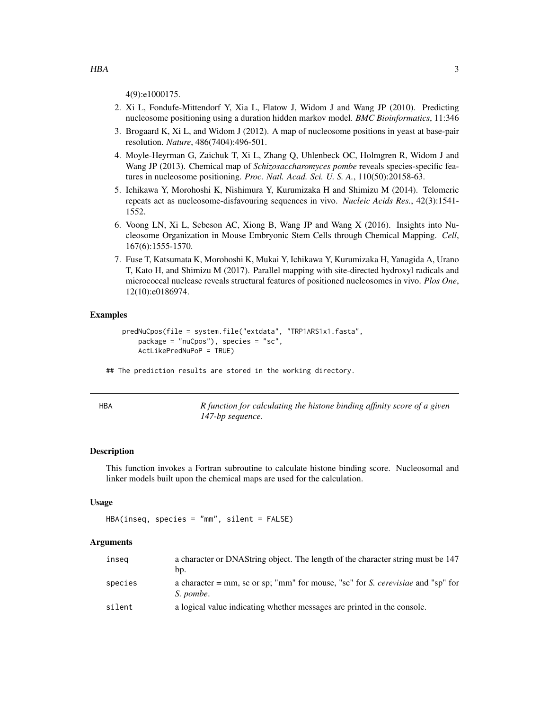- <span id="page-2-0"></span>2. Xi L, Fondufe-Mittendorf Y, Xia L, Flatow J, Widom J and Wang JP (2010). Predicting nucleosome positioning using a duration hidden markov model. *BMC Bioinformatics*, 11:346
- 3. Brogaard K, Xi L, and Widom J (2012). A map of nucleosome positions in yeast at base-pair resolution. *Nature*, 486(7404):496-501.
- 4. Moyle-Heyrman G, Zaichuk T, Xi L, Zhang Q, Uhlenbeck OC, Holmgren R, Widom J and Wang JP (2013). Chemical map of *Schizosaccharomyces pombe* reveals species-specific features in nucleosome positioning. *Proc. Natl. Acad. Sci. U. S. A.*, 110(50):20158-63.
- 5. Ichikawa Y, Morohoshi K, Nishimura Y, Kurumizaka H and Shimizu M (2014). Telomeric repeats act as nucleosome-disfavouring sequences in vivo. *Nucleic Acids Res.*, 42(3):1541- 1552.
- 6. Voong LN, Xi L, Sebeson AC, Xiong B, Wang JP and Wang X (2016). Insights into Nucleosome Organization in Mouse Embryonic Stem Cells through Chemical Mapping. *Cell*, 167(6):1555-1570.
- 7. Fuse T, Katsumata K, Morohoshi K, Mukai Y, Ichikawa Y, Kurumizaka H, Yanagida A, Urano T, Kato H, and Shimizu M (2017). Parallel mapping with site-directed hydroxyl radicals and micrococcal nuclease reveals structural features of positioned nucleosomes in vivo. *Plos One*, 12(10):e0186974.

#### Examples

```
predNuCpos(file = system.file("extdata", "TRP1ARS1x1.fasta",
   package = "nuCpos"), species = "sc",
   ActLikePredNuPoP = TRUE)
```
## The prediction results are stored in the working directory.

<span id="page-2-1"></span>

|  | ٠ | I |  |
|--|---|---|--|
|  |   |   |  |

HBA *R function for calculating the histone binding affinity score of a given 147-bp sequence.*

#### Description

This function invokes a Fortran subroutine to calculate histone binding score. Nucleosomal and linker models built upon the chemical maps are used for the calculation.

#### Usage

HBA(inseq, species = "mm", silent = FALSE)

#### Arguments

| inseg   | a character or DNAString object. The length of the character string must be 147<br>bp.       |
|---------|----------------------------------------------------------------------------------------------|
| species | a character = mm, sc or sp; "mm" for mouse, "sc" for S. cerevisiae and "sp" for<br>S. pombe. |
| silent  | a logical value indicating whether messages are printed in the console.                      |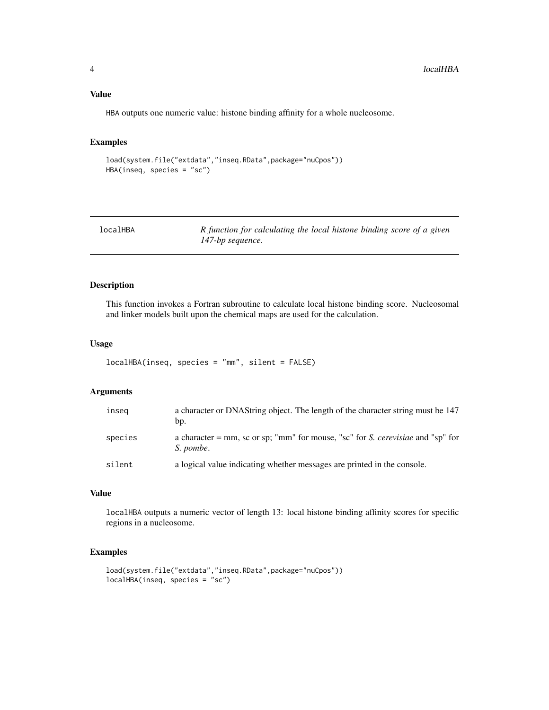#### <span id="page-3-0"></span>Value

HBA outputs one numeric value: histone binding affinity for a whole nucleosome.

#### Examples

```
load(system.file("extdata","inseq.RData",package="nuCpos"))
HBA(inseq, species = "sc")
```
<span id="page-3-1"></span>

| localHBA | R function for calculating the local histone binding score of a given |
|----------|-----------------------------------------------------------------------|
|          | 147-bp sequence.                                                      |

#### Description

This function invokes a Fortran subroutine to calculate local histone binding score. Nucleosomal and linker models built upon the chemical maps are used for the calculation.

#### Usage

```
localHBA(inseq, species = "mm", silent = FALSE)
```
#### Arguments

| inseg   | a character or DNAString object. The length of the character string must be 147<br>bp.       |
|---------|----------------------------------------------------------------------------------------------|
| species | a character = mm, sc or sp; "mm" for mouse, "sc" for S. cerevisiae and "sp" for<br>S. pombe. |
| silent  | a logical value indicating whether messages are printed in the console.                      |

#### Value

localHBA outputs a numeric vector of length 13: local histone binding affinity scores for specific regions in a nucleosome.

#### Examples

```
load(system.file("extdata","inseq.RData",package="nuCpos"))
localHBA(inseq, species = "sc")
```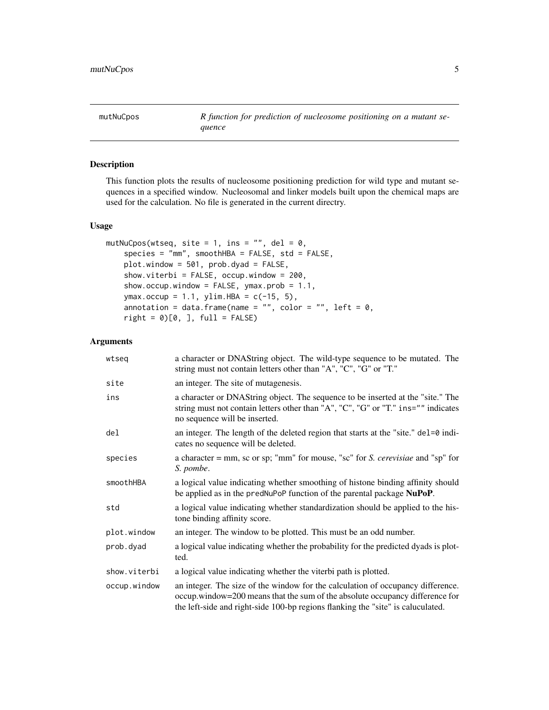<span id="page-4-1"></span><span id="page-4-0"></span>mutNuCpos R function for prediction of nucleosome positioning on a mutant se*quence*

#### Description

This function plots the results of nucleosome positioning prediction for wild type and mutant sequences in a specified window. Nucleosomal and linker models built upon the chemical maps are used for the calculation. No file is generated in the current directry.

#### Usage

```
mutNuCpos(wtseq, site = 1, ins = "", del = 0,
    species = "mm", smoothHBA = FALSE, std = FALSE,
    plot.window = 501, prob.dyad = FALSE,
    show.viterbi = FALSE, occup.window = 200,
    show.occup.window = FALSE, ymax.prob = 1.1,
    ymax.occup = 1.1, ylim.HBA = c(-15, 5),
    annotation = data.frame(name = "", color = "", left = 0,
    right = 0)[0, ], full = FALSE)
```
#### Arguments

| wtseq        | a character or DNAString object. The wild-type sequence to be mutated. The<br>string must not contain letters other than "A", "C", "G" or "T."                                                                                                     |
|--------------|----------------------------------------------------------------------------------------------------------------------------------------------------------------------------------------------------------------------------------------------------|
| site         | an integer. The site of mutagenesis.                                                                                                                                                                                                               |
| ins          | a character or DNAString object. The sequence to be inserted at the "site." The<br>string must not contain letters other than "A", "C", "G" or "T." ins="" indicates<br>no sequence will be inserted.                                              |
| del          | an integer. The length of the deleted region that starts at the "site." $del=0$ indi-<br>cates no sequence will be deleted.                                                                                                                        |
| species      | a character = $mm$ , sc or sp; " $mm$ " for mouse, "sc" for <i>S. cerevisiae</i> and "sp" for<br>S. pombe.                                                                                                                                         |
| smoothHBA    | a logical value indicating whether smoothing of histone binding affinity should<br>be applied as in the predNuPoP function of the parental package NuPoP.                                                                                          |
| std          | a logical value indicating whether standardization should be applied to the his-<br>tone binding affinity score.                                                                                                                                   |
| plot.window  | an integer. The window to be plotted. This must be an odd number.                                                                                                                                                                                  |
| prob.dyad    | a logical value indicating whether the probability for the predicted dyads is plot-<br>ted.                                                                                                                                                        |
| show.viterbi | a logical value indicating whether the viterbi path is plotted.                                                                                                                                                                                    |
| occup.window | an integer. The size of the window for the calculation of occupancy difference.<br>occup.window=200 means that the sum of the absolute occupancy difference for<br>the left-side and right-side 100-bp regions flanking the "site" is caluculated. |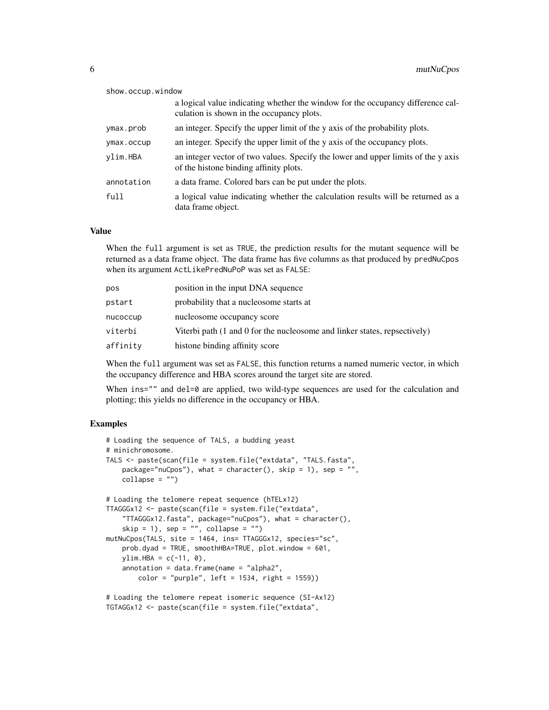| show.occup.window |                                                                                                                              |
|-------------------|------------------------------------------------------------------------------------------------------------------------------|
|                   | a logical value indicating whether the window for the occupancy difference cal-<br>culation is shown in the occupancy plots. |
| ymax.prob         | an integer. Specify the upper limit of the y axis of the probability plots.                                                  |
| ymax.occup        | an integer. Specify the upper limit of the y axis of the occupancy plots.                                                    |
| vlim.HBA          | an integer vector of two values. Specify the lower and upper limits of the y axis<br>of the histone binding affinity plots.  |
| annotation        | a data frame. Colored bars can be put under the plots.                                                                       |
| full              | a logical value indicating whether the calculation results will be returned as a<br>data frame object.                       |

#### Value

When the full argument is set as TRUE, the prediction results for the mutant sequence will be returned as a data frame object. The data frame has five columns as that produced by predNuCpos when its argument ActLikePredNuPoP was set as FALSE:

| pos      | position in the input DNA sequence                                                           |
|----------|----------------------------------------------------------------------------------------------|
| pstart   | probability that a nucleosome starts at                                                      |
| nucoccup | nucleosome occupancy score                                                                   |
| viterbi  | Viterbi path $(1 \text{ and } 0 \text{ for the nucleosome and linker states, respectively})$ |
| affinity | histone binding affinity score                                                               |

When the full argument was set as FALSE, this function returns a named numeric vector, in which the occupancy difference and HBA scores around the target site are stored.

When ins="" and del=0 are applied, two wild-type sequences are used for the calculation and plotting; this yields no difference in the occupancy or HBA.

#### Examples

```
# Loading the sequence of TALS, a budding yeast
# minichromosome.
TALS <- paste(scan(file = system.file("extdata", "TALS.fasta",
    package="nuCpos"), what = character(), skip = 1), sep = "",collapse = "")# Loading the telomere repeat sequence (hTELx12)
TTAGGGx12 <- paste(scan(file = system.file("extdata",
    "TTAGGGx12.fasta", package="nuCpos"), what = character(),
    skip = 1), sep = ", collapse = ")
mutNuCpos(TALS, site = 1464, ins= TTAGGGx12, species="sc",
   prob.dyad = TRUE, smoothHBA=TRUE, plot.window = 601,
   ylim.HBA = c(-11, 0),annotation = data frame(name = "alpha2",color = "purple", left = 1534, right = 1559)
```
# Loading the telomere repeat isomeric sequence (SI-Ax12) TGTAGGx12 <- paste(scan(file = system.file("extdata",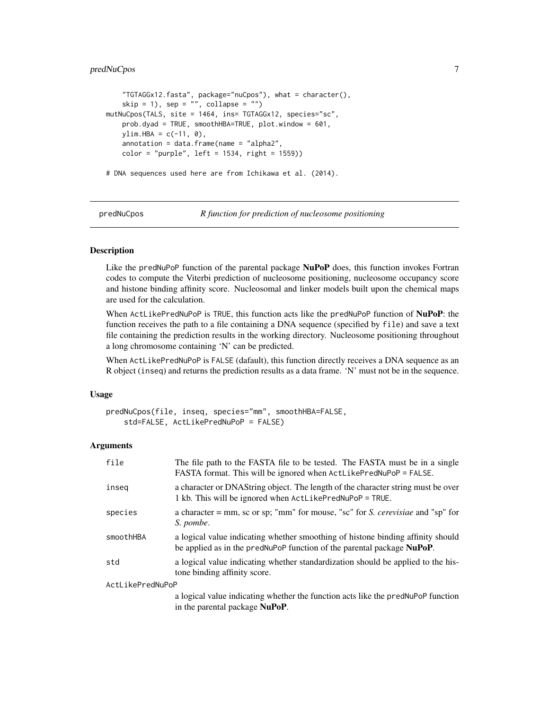#### <span id="page-6-0"></span>predNuCpos 7

```
"TGTAGGx12.fasta", package="nuCpos"), what = character(),
    skip = 1), sep = ", collapse = ")
mutNuCpos(TALS, site = 1464, ins= TGTAGGx12, species="sc",
   prob.dyad = TRUE, smoothHBA=TRUE, plot.window = 601,
   ylim.HBA = c(-11, 0),annotation = data frame(name = "alpha2",color = "purple", left = 1534, right = 1559))
```
# DNA sequences used here are from Ichikawa et al. (2014).

<span id="page-6-1"></span>

predNuCpos *R function for prediction of nucleosome positioning*

#### Description

Like the predNuPoP function of the parental package **NuPoP** does, this function invokes Fortran codes to compute the Viterbi prediction of nucleosome positioning, nucleosome occupancy score and histone binding affinity score. Nucleosomal and linker models built upon the chemical maps are used for the calculation.

When ActLikePredNuPoP is TRUE, this function acts like the predNuPoP function of NuPoP: the function receives the path to a file containing a DNA sequence (specified by file) and save a text file containing the prediction results in the working directory. Nucleosome positioning throughout a long chromosome containing 'N' can be predicted.

When ActLikePredNuPoP is FALSE (dafault), this function directly receives a DNA sequence as an R object (inseq) and returns the prediction results as a data frame. 'N' must not be in the sequence.

#### Usage

```
predNuCpos(file, inseq, species="mm", smoothHBA=FALSE,
    std=FALSE, ActLikePredNuPoP = FALSE)
```
#### **Arguments**

| file             | The file path to the FASTA file to be tested. The FASTA must be in a single<br>FASTA format. This will be ignored when ActLikePredNuPoP = FALSE.          |  |  |  |  |
|------------------|-----------------------------------------------------------------------------------------------------------------------------------------------------------|--|--|--|--|
| inseg            | a character or DNAString object. The length of the character string must be over<br>1 kb. This will be ignored when ActLikePredNuPoP = TRUE.              |  |  |  |  |
| species          | a character = $mm$ , sc or sp; " $mm$ " for mouse, "sc" for S. <i>cerevisiae</i> and "sp" for<br>S. pombe.                                                |  |  |  |  |
| smoothHBA        | a logical value indicating whether smoothing of histone binding affinity should<br>be applied as in the predNuPoP function of the parental package NuPoP. |  |  |  |  |
| std              | a logical value indicating whether standardization should be applied to the his-<br>tone binding affinity score.                                          |  |  |  |  |
| ActLikePredNuPoP |                                                                                                                                                           |  |  |  |  |
|                  | a logical value indicating whether the function acts like the predNuPoP function<br>in the parental package <b>NuPoP</b> .                                |  |  |  |  |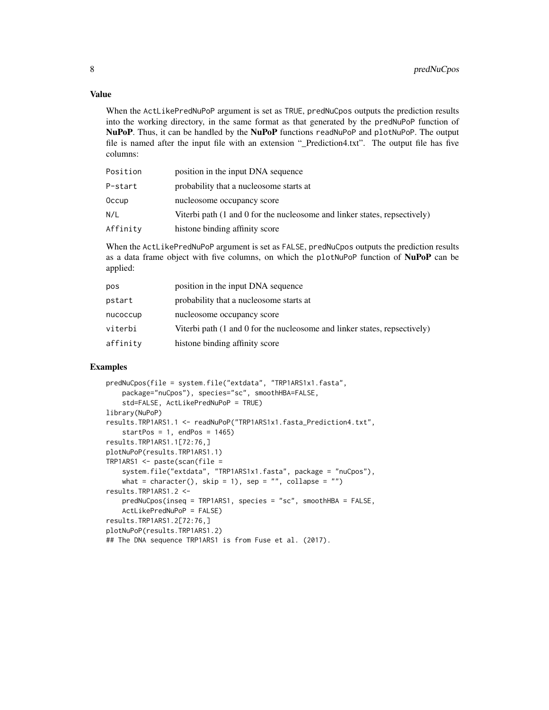#### Value

When the ActLikePredNuPoP argument is set as TRUE, predNuCpos outputs the prediction results into the working directory, in the same format as that generated by the predNuPoP function of NuPoP. Thus, it can be handled by the NuPoP functions readNuPoP and plotNuPoP. The output file is named after the input file with an extension "\_Prediction4.txt". The output file has five columns:

| Position | position in the input DNA sequence                                                           |
|----------|----------------------------------------------------------------------------------------------|
| P-start  | probability that a nucleosome starts at                                                      |
| 0ccup    | nucleosome occupancy score                                                                   |
| N/L      | Viterbi path $(1 \text{ and } 0 \text{ for the nucleosome and linker states, respectively})$ |
| Affinity | histone binding affinity score                                                               |

When the ActLikePredNuPoP argument is set as FALSE, predNuCpos outputs the prediction results as a data frame object with five columns, on which the plotNuPoP function of NuPoP can be applied:

| pos      | position in the input DNA sequence                                                           |
|----------|----------------------------------------------------------------------------------------------|
| pstart   | probability that a nucleosome starts at                                                      |
| nucoccup | nucleosome occupancy score                                                                   |
| viterbi  | Viterbi path $(1 \text{ and } 0 \text{ for the nucleosome and linker states, respectively})$ |
| affinity | histone binding affinity score                                                               |

#### Examples

```
predNuCpos(file = system.file("extdata", "TRP1ARS1x1.fasta",
    package="nuCpos"), species="sc", smoothHBA=FALSE,
    std=FALSE, ActLikePredNuPoP = TRUE)
library(NuPoP)
results.TRP1ARS1.1 <- readNuPoP("TRP1ARS1x1.fasta_Prediction4.txt",
    startPos = 1, endPos = 1465)
results.TRP1ARS1.1[72:76,]
plotNuPoP(results.TRP1ARS1.1)
TRP1ARS1 \leq - paste(scan(file =
    system.file("extdata", "TRP1ARS1x1.fasta", package = "nuCpos"),
   what = character(), skip = 1), sep = "", collapse = "")
results.TRP1ARS1.2 <-
   predNuCpos(inseq = TRP1ARS1, species = "sc", smoothHBA = FALSE,
    ActLikePredNuPoP = FALSE)
results.TRP1ARS1.2[72:76,]
plotNuPoP(results.TRP1ARS1.2)
## The DNA sequence TRP1ARS1 is from Fuse et al. (2017).
```